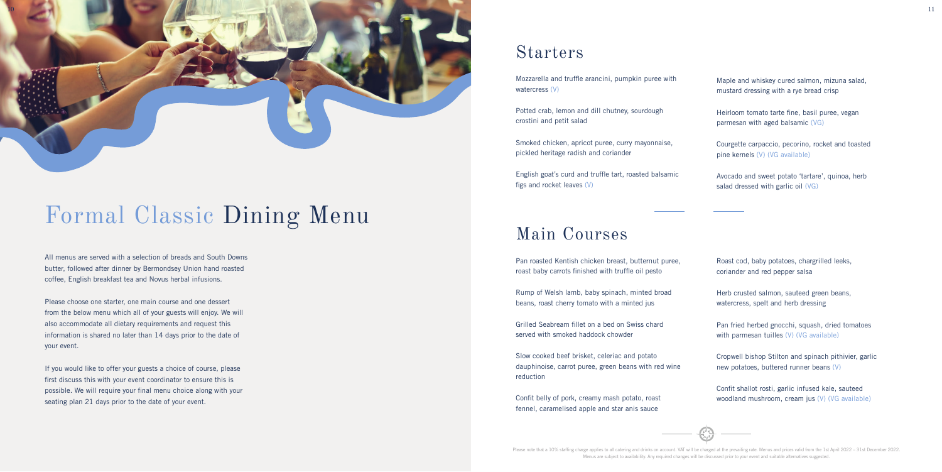Please note that a 10% staffing charge applies to all catering and drinks on account. VAT will be charged at the prevailing rate. Menus and prices valid from the 1st April 2022 - 31st December 2022. Menus are subject to availability. Any required changes will be discussed prior to your event and suitable alternatives suggested.

# Formal Classic Dining Menu

All menus are served with a selection of breads and South Downs butter, followed after dinner by Bermondsey Union hand roasted coffee, English breakfast tea and Novus herbal infusions.

Please choose one starter, one main course and one dessert from the below menu which all of your guests will enjoy. We will also accommodate all dietary requirements and request this information is shared no later than 14 days prior to the date of your event.

If you would like to offer your guests a choice of course, please first discuss this with your event coordinator to ensure this is possible. We will require your final menu choice along with your seating plan 21 days prior to the date of your event.

Pan fried herbed gnocchi, squash, dried tomatoes with parmesan tuilles (V) (VG available)

### Starters

Mozzarella and truffle arancini, pumpkin puree with watercress (V)

Potted crab, lemon and dill chutney, sourdough crostini and petit salad

Smoked chicken, apricot puree, curry mayonnaise, pickled heritage radish and coriander

English goat's curd and truffle tart, roasted balsamic figs and rocket leaves (V)

Maple and whiskey cured salmon, mizuna salad, mustard dressing with a rye bread crisp

Heirloom tomato tarte fine, basil puree, vegan parmesan with aged balsamic (VG)

Courgette carpaccio, pecorino, rocket and toasted pine kernels (V) (VG available)

Avocado and sweet potato 'tartare', quinoa, herb salad dressed with garlic oil (VG)

### Main Courses

Pan roasted Kentish chicken breast, butternut puree, roast baby carrots finished with truffle oil pesto

Rump of Welsh lamb, baby spinach, minted broad beans, roast cherry tomato with a minted jus

Grilled Seabream fillet on a bed on Swiss chard served with smoked haddock chowder

Slow cooked beef brisket, celeriac and potato dauphinoise, carrot puree, green beans with red wine reduction

Confit belly of pork, creamy mash potato, roast fennel, caramelised apple and star anis sauce

Roast cod, baby potatoes, chargrilled leeks, coriander and red pepper salsa

Herb crusted salmon, sauteed green beans, watercress, spelt and herb dressing

Cropwell bishop Stilton and spinach pithivier, garlic new potatoes, buttered runner beans (V)

Confit shallot rosti, garlic infused kale, sauteed woodland mushroom, cream jus (V) (VG available)